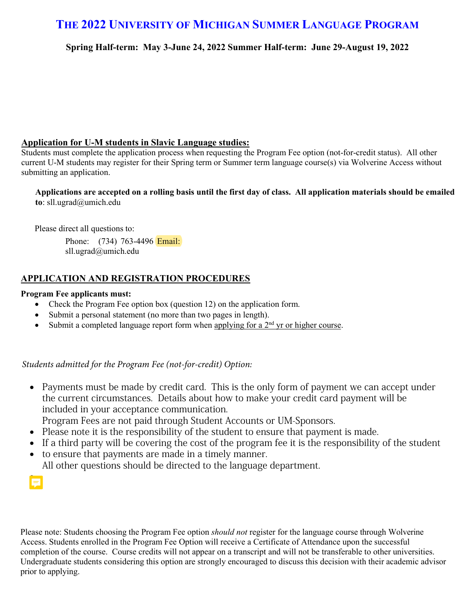## **THE 2022 UNIVERSITY OF MICHIGAN SUMMER LANGUAGE PROGRAM**

**Spring Half-term: May 3-June 24, 2022 Summer Half-term: June 29-August 19, 2022**

### **Application for U-M students in Slavic Language studies:**

Students must complete the application process when requesting the Program Fee option (not-for-credit status). All other current U-M students may register for their Spring term or Summer term language course(s) via Wolverine Access without submitting an application.

**Applications are accepted on a rolling basis until the first day of class. All application materials should be emailed to**: sll.ugrad@umich.edu

Please direct all questions to:

Phone: (734) 763-4496 **Email:** sll.ugrad@umich.edu

## **APPLICATION AND REGISTRATION PROCEDURES**

#### **Program Fee applicants must:**

- Check the Program Fee option box (question 12) on the application form.
- Submit a personal statement (no more than two pages in length).
- Submit a completed language report form when applying for a  $2<sup>nd</sup>$  yr or higher course.

*Students admitted for the Program Fee (not-for-credit) Option:*

• Payments must be made by credit card. This is the only form of payment we can accept under the current circumstances. Details about how to make your credit card payment will be included in your acceptance communication.

Program Fees are not paid through Student Accounts or UM-Sponsors.

- Please note it is the responsibility of the student to ensure that payment is made.
- If a third party will be covering the cost of the program fee it is the responsibility of the student
- to ensure that payments are made in a timely manner. All other questions should be directed to the language department.

•

Please note: Students choosing the Program Fee option *should not* register for the language course through Wolverine Access. Students enrolled in the Program Fee Option will receive a Certificate of Attendance upon the successful completion of the course. Course credits will not appear on a transcript and will not be transferable to other universities. Undergraduate students considering this option are strongly encouraged to discuss this decision with their academic advisor prior to applying.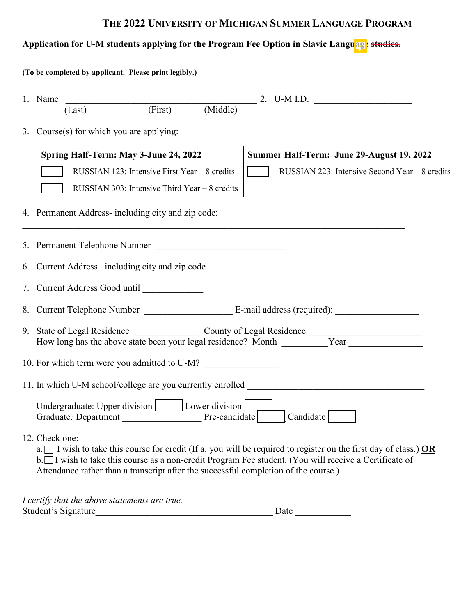# **THE 2022 UNIVERSITY OF MICHIGAN SUMMER LANGUAGE PROGRAM**

# Application for U-M students applying for the Program Fee Option in Slavic Language studies.

| (To be completed by applicant. Please print legibly.) |                                                                                                        |                                             |                                                   |  |                                           |                                                                                                                                                                                                                                                                                                                        |  |  |  |  |
|-------------------------------------------------------|--------------------------------------------------------------------------------------------------------|---------------------------------------------|---------------------------------------------------|--|-------------------------------------------|------------------------------------------------------------------------------------------------------------------------------------------------------------------------------------------------------------------------------------------------------------------------------------------------------------------------|--|--|--|--|
|                                                       | 1. Name                                                                                                | $(Last)$ $(First)$ $(Middle)$ $2. U-M I.D.$ |                                                   |  |                                           |                                                                                                                                                                                                                                                                                                                        |  |  |  |  |
|                                                       |                                                                                                        | (Last)                                      |                                                   |  |                                           |                                                                                                                                                                                                                                                                                                                        |  |  |  |  |
|                                                       |                                                                                                        | 3. Course(s) for which you are applying:    |                                                   |  |                                           |                                                                                                                                                                                                                                                                                                                        |  |  |  |  |
|                                                       | Spring Half-Term: May 3-June 24, 2022                                                                  |                                             |                                                   |  | Summer Half-Term: June 29-August 19, 2022 |                                                                                                                                                                                                                                                                                                                        |  |  |  |  |
|                                                       |                                                                                                        |                                             | RUSSIAN 123: Intensive First Year $-8$ credits    |  | $\sim$ 1                                  | RUSSIAN 223: Intensive Second Year - 8 credits                                                                                                                                                                                                                                                                         |  |  |  |  |
|                                                       |                                                                                                        |                                             | RUSSIAN 303: Intensive Third Year $-8$ credits    |  |                                           |                                                                                                                                                                                                                                                                                                                        |  |  |  |  |
|                                                       |                                                                                                        |                                             | 4. Permanent Address-including city and zip code: |  |                                           |                                                                                                                                                                                                                                                                                                                        |  |  |  |  |
|                                                       | 5. Permanent Telephone Number                                                                          |                                             |                                                   |  |                                           |                                                                                                                                                                                                                                                                                                                        |  |  |  |  |
|                                                       | 6. Current Address --including city and zip code ________________________________                      |                                             |                                                   |  |                                           |                                                                                                                                                                                                                                                                                                                        |  |  |  |  |
|                                                       |                                                                                                        |                                             |                                                   |  |                                           |                                                                                                                                                                                                                                                                                                                        |  |  |  |  |
|                                                       |                                                                                                        |                                             |                                                   |  |                                           |                                                                                                                                                                                                                                                                                                                        |  |  |  |  |
|                                                       |                                                                                                        |                                             |                                                   |  |                                           |                                                                                                                                                                                                                                                                                                                        |  |  |  |  |
|                                                       |                                                                                                        |                                             | 10. For which term were you admitted to U-M?      |  |                                           |                                                                                                                                                                                                                                                                                                                        |  |  |  |  |
|                                                       |                                                                                                        |                                             |                                                   |  |                                           | 11. In which U-M school/college are you currently enrolled ______________________                                                                                                                                                                                                                                      |  |  |  |  |
|                                                       | Undergraduate: Upper division   Lower division  <br>Pre-candidate<br>Candidate<br>Graduate: Department |                                             |                                                   |  |                                           |                                                                                                                                                                                                                                                                                                                        |  |  |  |  |
|                                                       | 12. Check one:                                                                                         |                                             |                                                   |  |                                           | a. $\Box$ I wish to take this course for credit (If a. you will be required to register on the first day of class.) OR<br>b. I wish to take this course as a non-credit Program Fee student. (You will receive a Certificate of<br>Attendance rather than a transcript after the successful completion of the course.) |  |  |  |  |

| I certify that the above statements are true. |      |
|-----------------------------------------------|------|
| Student's Signature                           | Date |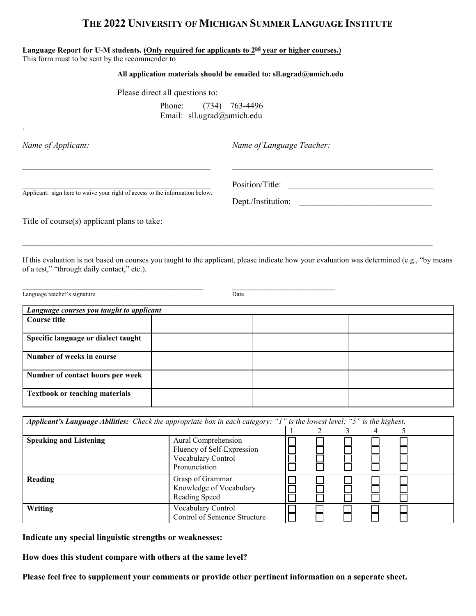### **THE 2022 UNIVERSITY OF MICHIGAN SUMMER LANGUAGE INSTITUTE**

#### **Language Report for U-M students. (Only required for applicants to 2nd year or higher courses.)**

This form must to be sent by the recommender to

#### **All application materials should be emailed to: sll.ugrad@umich.edu**

 $\_$  , and the contribution of the contribution of  $\overline{\mathcal{L}}$  , and the contribution of  $\overline{\mathcal{L}}$ 

Please direct all questions to:

Phone: (734) 763-4496 Email: sll.ugrad@umich.edu

.

*Name of Applicant: Name of Language Teacher:*

Applicant: sign here to waive your right of access to the information below.

Dept./Institution:

Title of course(s) applicant plans to take:

If this evaluation is not based on courses you taught to the applicant, please indicate how your evaluation was determined (e.g., "by means of a test," "through daily contact," etc.).

\_\_\_\_\_\_\_\_\_\_\_\_\_\_\_\_\_\_\_\_\_\_\_\_\_\_\_\_\_\_\_\_\_\_\_\_\_\_\_\_\_\_\_\_\_\_\_\_\_\_\_\_\_\_\_\_\_\_\_\_\_\_\_\_\_\_\_\_\_\_\_\_\_\_\_\_\_\_\_\_\_\_\_\_\_\_\_\_\_\_\_\_\_\_\_\_

Language teacher's signature **Date** 

| Language courses you taught to applicant |  |  |  |  |  |  |
|------------------------------------------|--|--|--|--|--|--|
| Course title                             |  |  |  |  |  |  |
|                                          |  |  |  |  |  |  |
| Specific language or dialect taught      |  |  |  |  |  |  |
| Number of weeks in course                |  |  |  |  |  |  |
| Number of contact hours per week         |  |  |  |  |  |  |
| <b>Textbook or teaching materials</b>    |  |  |  |  |  |  |

| Applicant's Language Abilities: Check the appropriate box in each category: "I" is the lowest level; "5" is the highest. |                                                                                          |  |  |  |  |  |  |
|--------------------------------------------------------------------------------------------------------------------------|------------------------------------------------------------------------------------------|--|--|--|--|--|--|
|                                                                                                                          |                                                                                          |  |  |  |  |  |  |
| <b>Speaking and Listening</b>                                                                                            | Aural Comprehension<br>Fluency of Self-Expression<br>Vocabulary Control<br>Pronunciation |  |  |  |  |  |  |
| Reading                                                                                                                  | Grasp of Grammar<br>Knowledge of Vocabulary<br>Reading Speed                             |  |  |  |  |  |  |
| <b>Writing</b>                                                                                                           | Vocabulary Control<br>Control of Sentence Structure                                      |  |  |  |  |  |  |

**Indicate any special linguistic strengths or weaknesses:**

**How does this student compare with others at the same level?**

**Please feel free to supplement your comments or provide other pertinent information on a seperate sheet.**